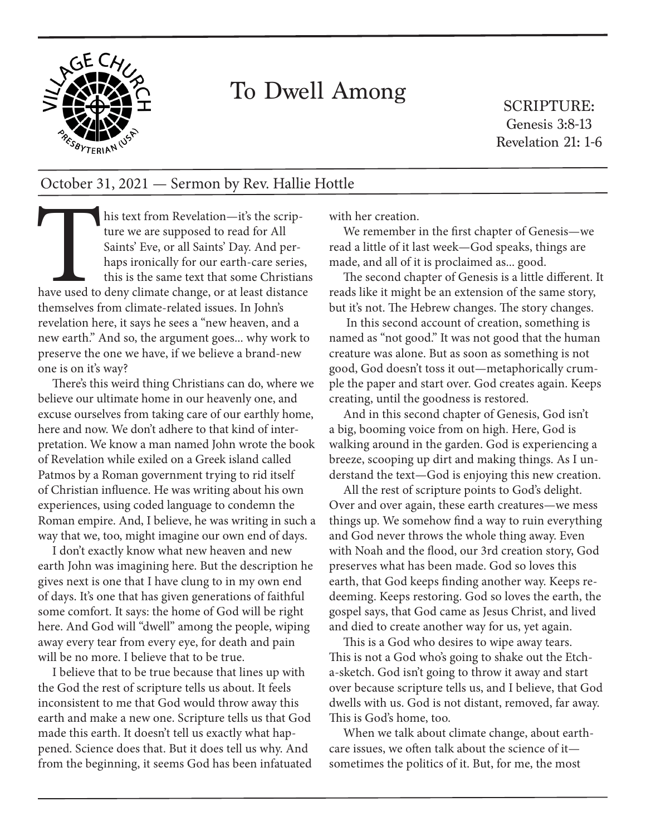

## To Dwell Among

SCRIPTURE: Genesis 3:8-13 Revelation 21: 1-6

## October 31, 2021 — Sermon by Rev. Hallie Hottle

his ture<br>ture<br>Saint<br>haps<br>this is<br>this is<br>themselves from a his text from Revelation—it's the scripture we are supposed to read for All Saints' Eve, or all Saints' Day. And perhaps ironically for our earth-care series, this is the same text that some Christians have used to deny climate change, or at least distance themselves from climate-related issues. In John's revelation here, it says he sees a "new heaven, and a new earth." And so, the argument goes... why work to preserve the one we have, if we believe a brand-new one is on it's way?

There's this weird thing Christians can do, where we believe our ultimate home in our heavenly one, and excuse ourselves from taking care of our earthly home, here and now. We don't adhere to that kind of interpretation. We know a man named John wrote the book of Revelation while exiled on a Greek island called Patmos by a Roman government trying to rid itself of Christian influence. He was writing about his own experiences, using coded language to condemn the Roman empire. And, I believe, he was writing in such a way that we, too, might imagine our own end of days.

I don't exactly know what new heaven and new earth John was imagining here. But the description he gives next is one that I have clung to in my own end of days. It's one that has given generations of faithful some comfort. It says: the home of God will be right here. And God will "dwell" among the people, wiping away every tear from every eye, for death and pain will be no more. I believe that to be true.

I believe that to be true because that lines up with the God the rest of scripture tells us about. It feels inconsistent to me that God would throw away this earth and make a new one. Scripture tells us that God made this earth. It doesn't tell us exactly what happened. Science does that. But it does tell us why. And from the beginning, it seems God has been infatuated

with her creation.

We remember in the first chapter of Genesis—we read a little of it last week—God speaks, things are made, and all of it is proclaimed as... good.

The second chapter of Genesis is a little different. It reads like it might be an extension of the same story, but it's not. The Hebrew changes. The story changes.

 In this second account of creation, something is named as "not good." It was not good that the human creature was alone. But as soon as something is not good, God doesn't toss it out—metaphorically crumple the paper and start over. God creates again. Keeps creating, until the goodness is restored.

And in this second chapter of Genesis, God isn't a big, booming voice from on high. Here, God is walking around in the garden. God is experiencing a breeze, scooping up dirt and making things. As I understand the text—God is enjoying this new creation.

All the rest of scripture points to God's delight. Over and over again, these earth creatures—we mess things up. We somehow find a way to ruin everything and God never throws the whole thing away. Even with Noah and the flood, our 3rd creation story, God preserves what has been made. God so loves this earth, that God keeps finding another way. Keeps redeeming. Keeps restoring. God so loves the earth, the gospel says, that God came as Jesus Christ, and lived and died to create another way for us, yet again.

This is a God who desires to wipe away tears. This is not a God who's going to shake out the Etcha-sketch. God isn't going to throw it away and start over because scripture tells us, and I believe, that God dwells with us. God is not distant, removed, far away. This is God's home, too.

When we talk about climate change, about earthcare issues, we often talk about the science of it sometimes the politics of it. But, for me, the most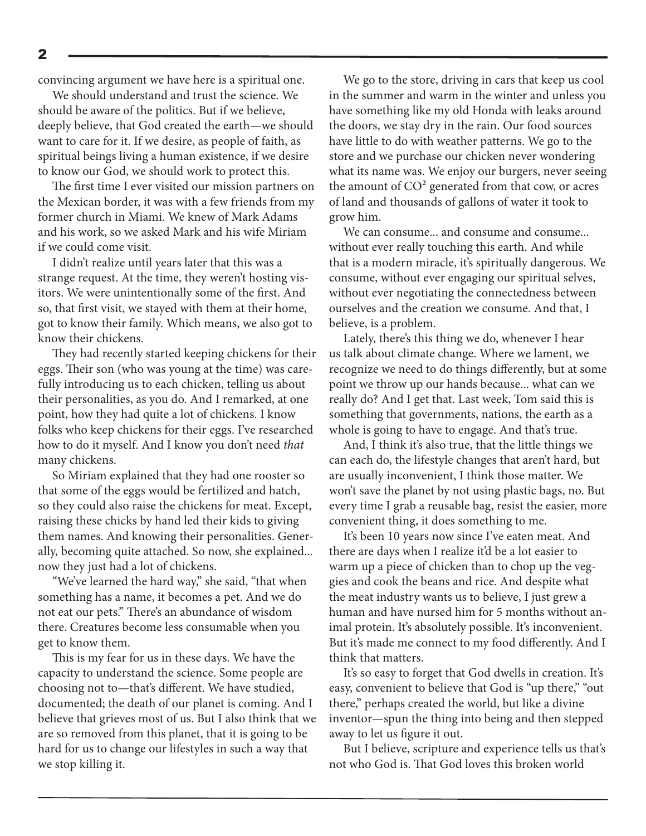convincing argument we have here is a spiritual one.

We should understand and trust the science. We should be aware of the politics. But if we believe, deeply believe, that God created the earth—we should want to care for it. If we desire, as people of faith, as spiritual beings living a human existence, if we desire to know our God, we should work to protect this.

The first time I ever visited our mission partners on the Mexican border, it was with a few friends from my former church in Miami. We knew of Mark Adams and his work, so we asked Mark and his wife Miriam if we could come visit.

I didn't realize until years later that this was a strange request. At the time, they weren't hosting visitors. We were unintentionally some of the first. And so, that first visit, we stayed with them at their home, got to know their family. Which means, we also got to know their chickens.

They had recently started keeping chickens for their eggs. Their son (who was young at the time) was carefully introducing us to each chicken, telling us about their personalities, as you do. And I remarked, at one point, how they had quite a lot of chickens. I know folks who keep chickens for their eggs. I've researched how to do it myself. And I know you don't need *that* many chickens.

So Miriam explained that they had one rooster so that some of the eggs would be fertilized and hatch, so they could also raise the chickens for meat. Except, raising these chicks by hand led their kids to giving them names. And knowing their personalities. Generally, becoming quite attached. So now, she explained... now they just had a lot of chickens.

"We've learned the hard way," she said, "that when something has a name, it becomes a pet. And we do not eat our pets." There's an abundance of wisdom there. Creatures become less consumable when you get to know them.

This is my fear for us in these days. We have the capacity to understand the science. Some people are choosing not to—that's different. We have studied, documented; the death of our planet is coming. And I believe that grieves most of us. But I also think that we are so removed from this planet, that it is going to be hard for us to change our lifestyles in such a way that we stop killing it.

We go to the store, driving in cars that keep us cool in the summer and warm in the winter and unless you have something like my old Honda with leaks around the doors, we stay dry in the rain. Our food sources have little to do with weather patterns. We go to the store and we purchase our chicken never wondering what its name was. We enjoy our burgers, never seeing the amount of  $CO<sup>2</sup>$  generated from that cow, or acres of land and thousands of gallons of water it took to grow him.

We can consume... and consume and consume... without ever really touching this earth. And while that is a modern miracle, it's spiritually dangerous. We consume, without ever engaging our spiritual selves, without ever negotiating the connectedness between ourselves and the creation we consume. And that, I believe, is a problem.

Lately, there's this thing we do, whenever I hear us talk about climate change. Where we lament, we recognize we need to do things differently, but at some point we throw up our hands because... what can we really do? And I get that. Last week, Tom said this is something that governments, nations, the earth as a whole is going to have to engage. And that's true.

And, I think it's also true, that the little things we can each do, the lifestyle changes that aren't hard, but are usually inconvenient, I think those matter. We won't save the planet by not using plastic bags, no. But every time I grab a reusable bag, resist the easier, more convenient thing, it does something to me.

It's been 10 years now since I've eaten meat. And there are days when I realize it'd be a lot easier to warm up a piece of chicken than to chop up the veggies and cook the beans and rice. And despite what the meat industry wants us to believe, I just grew a human and have nursed him for 5 months without animal protein. It's absolutely possible. It's inconvenient. But it's made me connect to my food differently. And I think that matters.

It's so easy to forget that God dwells in creation. It's easy, convenient to believe that God is "up there," "out there," perhaps created the world, but like a divine inventor—spun the thing into being and then stepped away to let us figure it out.

But I believe, scripture and experience tells us that's not who God is. That God loves this broken world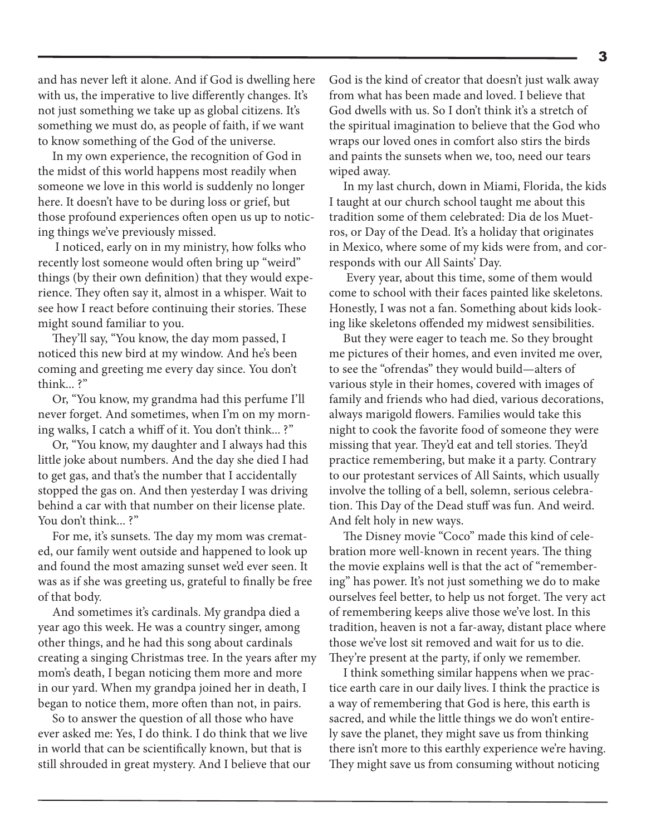and has never left it alone. And if God is dwelling here with us, the imperative to live differently changes. It's not just something we take up as global citizens. It's something we must do, as people of faith, if we want to know something of the God of the universe.

In my own experience, the recognition of God in the midst of this world happens most readily when someone we love in this world is suddenly no longer here. It doesn't have to be during loss or grief, but those profound experiences often open us up to noticing things we've previously missed.

 I noticed, early on in my ministry, how folks who recently lost someone would often bring up "weird" things (by their own definition) that they would experience. They often say it, almost in a whisper. Wait to see how I react before continuing their stories. These might sound familiar to you.

They'll say, "You know, the day mom passed, I noticed this new bird at my window. And he's been coming and greeting me every day since. You don't think... ?"

Or, "You know, my grandma had this perfume I'll never forget. And sometimes, when I'm on my morning walks, I catch a whiff of it. You don't think... ?"

Or, "You know, my daughter and I always had this little joke about numbers. And the day she died I had to get gas, and that's the number that I accidentally stopped the gas on. And then yesterday I was driving behind a car with that number on their license plate. You don't think...?"

For me, it's sunsets. The day my mom was cremated, our family went outside and happened to look up and found the most amazing sunset we'd ever seen. It was as if she was greeting us, grateful to finally be free of that body.

And sometimes it's cardinals. My grandpa died a year ago this week. He was a country singer, among other things, and he had this song about cardinals creating a singing Christmas tree. In the years after my mom's death, I began noticing them more and more in our yard. When my grandpa joined her in death, I began to notice them, more often than not, in pairs.

So to answer the question of all those who have ever asked me: Yes, I do think. I do think that we live in world that can be scientifically known, but that is still shrouded in great mystery. And I believe that our God is the kind of creator that doesn't just walk away from what has been made and loved. I believe that God dwells with us. So I don't think it's a stretch of the spiritual imagination to believe that the God who wraps our loved ones in comfort also stirs the birds and paints the sunsets when we, too, need our tears wiped away.

In my last church, down in Miami, Florida, the kids I taught at our church school taught me about this tradition some of them celebrated: Dia de los Muetros, or Day of the Dead. It's a holiday that originates in Mexico, where some of my kids were from, and corresponds with our All Saints' Day.

 Every year, about this time, some of them would come to school with their faces painted like skeletons. Honestly, I was not a fan. Something about kids looking like skeletons offended my midwest sensibilities.

But they were eager to teach me. So they brought me pictures of their homes, and even invited me over, to see the "ofrendas" they would build—alters of various style in their homes, covered with images of family and friends who had died, various decorations, always marigold flowers. Families would take this night to cook the favorite food of someone they were missing that year. They'd eat and tell stories. They'd practice remembering, but make it a party. Contrary to our protestant services of All Saints, which usually involve the tolling of a bell, solemn, serious celebration. This Day of the Dead stuff was fun. And weird. And felt holy in new ways.

The Disney movie "Coco" made this kind of celebration more well-known in recent years. The thing the movie explains well is that the act of "remembering" has power. It's not just something we do to make ourselves feel better, to help us not forget. The very act of remembering keeps alive those we've lost. In this tradition, heaven is not a far-away, distant place where those we've lost sit removed and wait for us to die. They're present at the party, if only we remember.

I think something similar happens when we practice earth care in our daily lives. I think the practice is a way of remembering that God is here, this earth is sacred, and while the little things we do won't entirely save the planet, they might save us from thinking there isn't more to this earthly experience we're having. They might save us from consuming without noticing